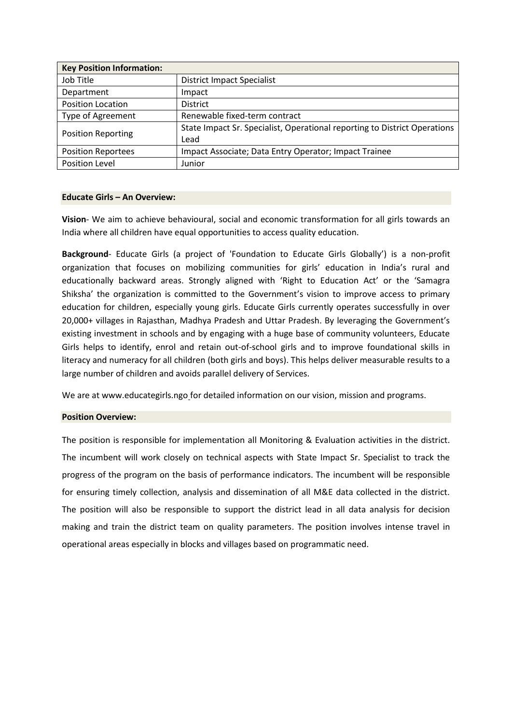| <b>Key Position Information:</b> |                                                                           |  |  |
|----------------------------------|---------------------------------------------------------------------------|--|--|
| Job Title                        | <b>District Impact Specialist</b>                                         |  |  |
| Department                       | Impact                                                                    |  |  |
| <b>Position Location</b>         | <b>District</b>                                                           |  |  |
| Type of Agreement                | Renewable fixed-term contract                                             |  |  |
| <b>Position Reporting</b>        | State Impact Sr. Specialist, Operational reporting to District Operations |  |  |
|                                  | Lead                                                                      |  |  |
| <b>Position Reportees</b>        | Impact Associate; Data Entry Operator; Impact Trainee                     |  |  |
| Position Level                   | Junior                                                                    |  |  |

#### **Educate Girls – An Overview:**

**Vision**- We aim to achieve behavioural, social and economic transformation for all girls towards an India where all children have equal opportunities to access quality education.

**Background**- Educate Girls (a project of 'Foundation to Educate Girls Globally') is a non-profit organization that focuses on mobilizing communities for girls' education in India's rural and educationally backward areas. Strongly aligned with 'Right to Education Act' or the 'Samagra Shiksha' the organization is committed to the Government's vision to improve access to primary education for children, especially young girls. Educate Girls currently operates successfully in over 20,000+ villages in Rajasthan, Madhya Pradesh and Uttar Pradesh. By leveraging the Government's existing investment in schools and by engaging with a huge base of community volunteers, Educate Girls helps to identify, enrol and retain out-of-school girls and to improve foundational skills in literacy and numeracy for all children (both girls and boys). This helps deliver measurable results to a large number of children and avoids parallel delivery of Services.

We are at www.educategirls.ngo for detailed information on our vision, mission and programs.

#### **Position Overview:**

The position is responsible for implementation all Monitoring & Evaluation activities in the district. The incumbent will work closely on technical aspects with State Impact Sr. Specialist to track the progress of the program on the basis of performance indicators. The incumbent will be responsible for ensuring timely collection, analysis and dissemination of all M&E data collected in the district. The position will also be responsible to support the district lead in all data analysis for decision making and train the district team on quality parameters. The position involves intense travel in operational areas especially in blocks and villages based on programmatic need.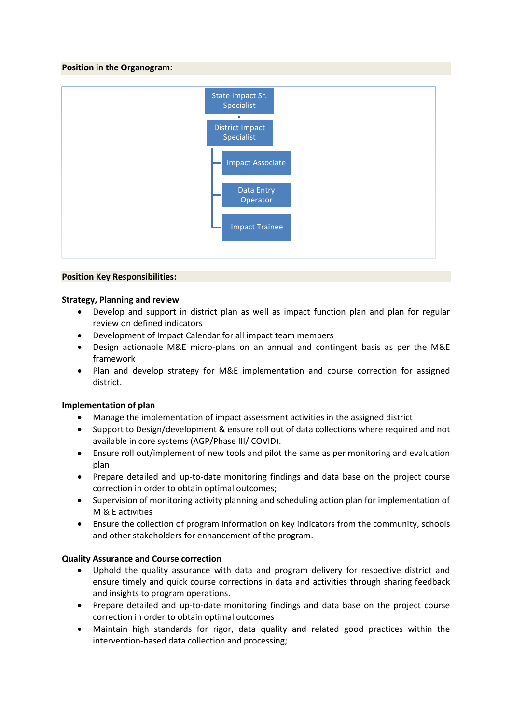### **Position in the Organogram:**



# **Position Key Responsibilities:**

### **Strategy, Planning and review**

- Develop and support in district plan as well as impact function plan and plan for regular review on defined indicators
- Development of Impact Calendar for all impact team members
- Design actionable M&E micro-plans on an annual and contingent basis as per the M&E framework
- Plan and develop strategy for M&E implementation and course correction for assigned district.

### **Implementation of plan**

- Manage the implementation of impact assessment activities in the assigned district
- Support to Design/development & ensure roll out of data collections where required and not available in core systems (AGP/Phase III/ COVID).
- Ensure roll out/implement of new tools and pilot the same as per monitoring and evaluation plan
- Prepare detailed and up-to-date monitoring findings and data base on the project course correction in order to obtain optimal outcomes;
- Supervision of monitoring activity planning and scheduling action plan for implementation of M & E activities
- Ensure the collection of program information on key indicators from the community, schools and other stakeholders for enhancement of the program.

### **Quality Assurance and Course correction**

- Uphold the quality assurance with data and program delivery for respective district and ensure timely and quick course corrections in data and activities through sharing feedback and insights to program operations.
- Prepare detailed and up-to-date monitoring findings and data base on the project course correction in order to obtain optimal outcomes
- Maintain high standards for rigor, data quality and related good practices within the intervention-based data collection and processing;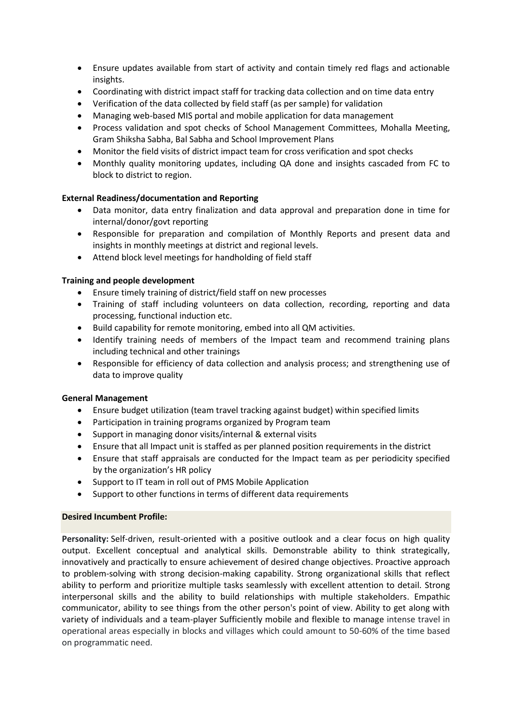- Ensure updates available from start of activity and contain timely red flags and actionable insights.
- Coordinating with district impact staff for tracking data collection and on time data entry
- Verification of the data collected by field staff (as per sample) for validation
- Managing web-based MIS portal and mobile application for data management
- Process validation and spot checks of School Management Committees, Mohalla Meeting, Gram Shiksha Sabha, Bal Sabha and School Improvement Plans
- Monitor the field visits of district impact team for cross verification and spot checks
- Monthly quality monitoring updates, including QA done and insights cascaded from FC to block to district to region.

# **External Readiness/documentation and Reporting**

- Data monitor, data entry finalization and data approval and preparation done in time for internal/donor/govt reporting
- Responsible for preparation and compilation of Monthly Reports and present data and insights in monthly meetings at district and regional levels.
- Attend block level meetings for handholding of field staff

# **Training and people development**

- Ensure timely training of district/field staff on new processes
- Training of staff including volunteers on data collection, recording, reporting and data processing, functional induction etc.
- Build capability for remote monitoring, embed into all QM activities.
- Identify training needs of members of the Impact team and recommend training plans including technical and other trainings
- Responsible for efficiency of data collection and analysis process; and strengthening use of data to improve quality

### **General Management**

- Ensure budget utilization (team travel tracking against budget) within specified limits
- Participation in training programs organized by Program team
- Support in managing donor visits/internal & external visits
- Ensure that all Impact unit is staffed as per planned position requirements in the district
- Ensure that staff appraisals are conducted for the Impact team as per periodicity specified by the organization's HR policy
- Support to IT team in roll out of PMS Mobile Application
- Support to other functions in terms of different data requirements

### **Desired Incumbent Profile:**

**Personality:** Self-driven, result-oriented with a positive outlook and a clear focus on high quality output. Excellent conceptual and analytical skills. Demonstrable ability to think strategically, innovatively and practically to ensure achievement of desired change objectives. Proactive approach to problem-solving with strong decision-making capability. Strong organizational skills that reflect ability to perform and prioritize multiple tasks seamlessly with excellent attention to detail. Strong interpersonal skills and the ability to build relationships with multiple stakeholders. Empathic communicator, ability to see things from the other person's point of view. Ability to get along with variety of individuals and a team-player Sufficiently mobile and flexible to manage intense travel in operational areas especially in blocks and villages which could amount to 50-60% of the time based on programmatic need.